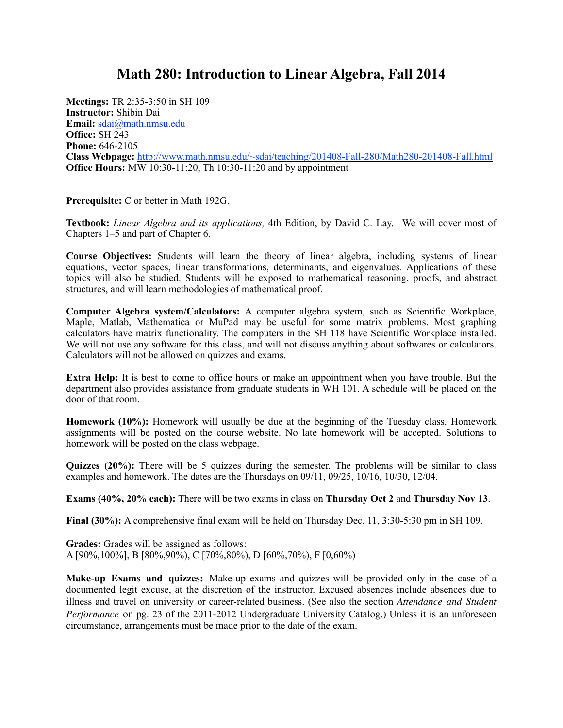## **Math 280: Introduction to Linear Algebra, Fall 2014**

**Meetings:** TR 2:35-3:50 in SH 109 **Instructor:** Shibin Dai **Email:** [sdai@math.nmsu.edu](mailto:sdai@math.nmsu.edu) **Office:** SH 243 **Phone:** 646-2105 **Class Webpage:** <http://www.math.nmsu.edu/~sdai/teaching/201408-Fall-280/Math280-201408-Fall.html> **Office Hours:** MW 10:30-11:20, Th 10:30-11:20 and by appointment

**Prerequisite:** C or better in Math 192G.

**Textbook:** *Linear Algebra and its applications,* 4th Edition, by David C. Lay. We will cover most of Chapters 1–5 and part of Chapter 6.

**Course Objectives:** Students will learn the theory of linear algebra, including systems of linear equations, vector spaces, linear transformations, determinants, and eigenvalues. Applications of these topics will also be studied. Students will be exposed to mathematical reasoning, proofs, and abstract structures, and will learn methodologies of mathematical proof.

**Computer Algebra system/Calculators:** A computer algebra system, such as Scientific Workplace, Maple, Matlab, Mathematica or MuPad may be useful for some matrix problems. Most graphing calculators have matrix functionality. The computers in the SH 118 have Scientific Workplace installed. We will not use any software for this class, and will not discuss anything about softwares or calculators. Calculators will not be allowed on quizzes and exams.

**Extra Help:** It is best to come to office hours or make an appointment when you have trouble. But the department also provides assistance from graduate students in WH 101. A schedule will be placed on the door of that room.

**Homework (10%):** Homework will usually be due at the beginning of the Tuesday class. Homework assignments will be posted on the course website. No late homework will be accepted. Solutions to homework will be posted on the class webpage.

**Quizzes (20%):** There will be 5 quizzes during the semester. The problems will be similar to class examples and homework. The dates are the Thursdays on 09/11, 09/25, 10/16, 10/30, 12/04.

**Exams (40%, 20% each):** There will be two exams in class on **Thursday Oct 2** and **Thursday Nov 13**.

**Final (30%):** A comprehensive final exam will be held on Thursday Dec. 11, 3:30-5:30 pm in SH 109.

**Grades:** Grades will be assigned as follows: A [90%,100%], B [80%,90%), C [70%,80%), D [60%,70%), F [0,60%)

**Make-up Exams and quizzes:** Make-up exams and quizzes will be provided only in the case of a documented legit excuse, at the discretion of the instructor. Excused absences include absences due to illness and travel on university or career-related business. (See also the section *Attendance and Student Performance* on pg. 23 of the 2011-2012 Undergraduate University Catalog.) Unless it is an unforeseen circumstance, arrangements must be made prior to the date of the exam.